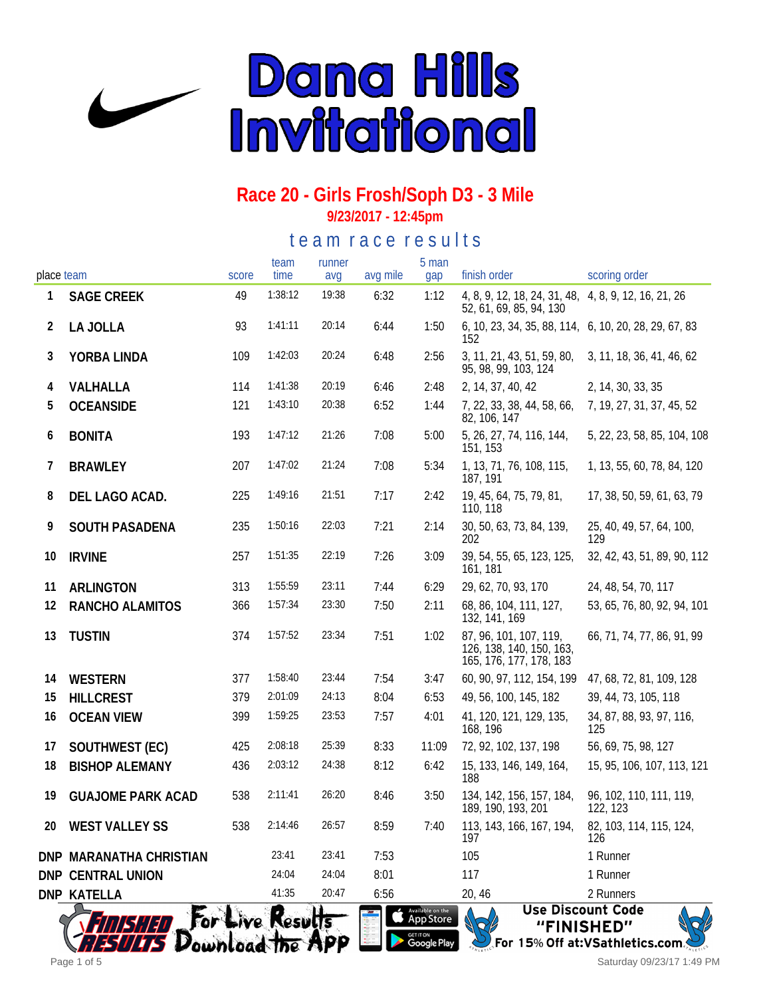

**9/23/2017 - 12:45pm**

te a m r a c e r e s ults

| place team |                          | score | team<br>time                    | runner<br>avg | avg mile | 5 man<br>gap                                                                | finish order                                                                    | scoring order                                                         |
|------------|--------------------------|-------|---------------------------------|---------------|----------|-----------------------------------------------------------------------------|---------------------------------------------------------------------------------|-----------------------------------------------------------------------|
| 1          | <b>SAGE CREEK</b>        | 49    | 1:38:12                         | 19:38         | 6:32     | 1:12                                                                        | 4, 8, 9, 12, 18, 24, 31, 48, 4, 8, 9, 12, 16, 21, 26<br>52, 61, 69, 85, 94, 130 |                                                                       |
| 2          | LA JOLLA                 | 93    | 1:41:11                         | 20:14         | 6:44     | 1:50                                                                        | 6, 10, 23, 34, 35, 88, 114, 6, 10, 20, 28, 29, 67, 83<br>152                    |                                                                       |
| 3          | YORBA LINDA              | 109   | 1:42:03                         | 20:24         | 6:48     | 2:56                                                                        | 3, 11, 21, 43, 51, 59, 80,<br>95, 98, 99, 103, 124                              | 3, 11, 18, 36, 41, 46, 62                                             |
| 4          | VALHALLA                 | 114   | 1:41:38                         | 20:19         | 6:46     | 2:48                                                                        | 2, 14, 37, 40, 42                                                               | 2, 14, 30, 33, 35                                                     |
| 5          | <b>OCEANSIDE</b>         | 121   | 1:43:10                         | 20:38         | 6:52     | 1:44                                                                        | 7, 22, 33, 38, 44, 58, 66,<br>82, 106, 147                                      | 7, 19, 27, 31, 37, 45, 52                                             |
| 6          | <b>BONITA</b>            | 193   | 1:47:12                         | 21:26         | 7:08     | 5:00                                                                        | 5, 26, 27, 74, 116, 144,<br>151, 153                                            | 5, 22, 23, 58, 85, 104, 108                                           |
| 7          | <b>BRAWLEY</b>           | 207   | 1:47:02                         | 21:24         | 7:08     | 5:34                                                                        | 1, 13, 71, 76, 108, 115,<br>187, 191                                            | 1, 13, 55, 60, 78, 84, 120                                            |
| 8          | DEL LAGO ACAD.           | 225   | 1:49:16                         | 21:51         | 7:17     | 2:42                                                                        | 19, 45, 64, 75, 79, 81,<br>110, 118                                             | 17, 38, 50, 59, 61, 63, 79                                            |
| 9          | SOUTH PASADENA           | 235   | 1:50:16                         | 22:03         | 7:21     | 2:14                                                                        | 30, 50, 63, 73, 84, 139,<br>202                                                 | 25, 40, 49, 57, 64, 100,<br>129                                       |
| 10         | <b>IRVINE</b>            | 257   | 1:51:35                         | 22:19         | 7:26     | 3:09                                                                        | 39, 54, 55, 65, 123, 125,<br>161, 181                                           | 32, 42, 43, 51, 89, 90, 112                                           |
| 11         | <b>ARLINGTON</b>         | 313   | 1:55:59                         | 23:11         | 7:44     | 6:29                                                                        | 29, 62, 70, 93, 170                                                             | 24, 48, 54, 70, 117                                                   |
| 12         | RANCHO ALAMITOS          | 366   | 1:57:34                         | 23:30         | 7:50     | 2:11                                                                        | 68, 86, 104, 111, 127,<br>132, 141, 169                                         | 53, 65, 76, 80, 92, 94, 101                                           |
| 13         | <b>TUSTIN</b>            | 374   | 1:57:52                         | 23:34         | 7:51     | 1:02                                                                        | 87, 96, 101, 107, 119,<br>126, 138, 140, 150, 163,<br>165, 176, 177, 178, 183   | 66, 71, 74, 77, 86, 91, 99                                            |
| 14         | WESTERN                  | 377   | 1:58:40                         | 23:44         | 7:54     | 3:47                                                                        | 60, 90, 97, 112, 154, 199                                                       | 47, 68, 72, 81, 109, 128                                              |
| 15         | <b>HILLCREST</b>         | 379   | 2:01:09                         | 24:13         | 8:04     | 6:53                                                                        | 49, 56, 100, 145, 182                                                           | 39, 44, 73, 105, 118                                                  |
| 16         | <b>OCEAN VIEW</b>        | 399   | 1:59:25                         | 23:53         | 7:57     | 4:01                                                                        | 41, 120, 121, 129, 135,<br>168, 196                                             | 34, 87, 88, 93, 97, 116,<br>125                                       |
| 17         | SOUTHWEST (EC)           | 425   | 2:08:18                         | 25:39         | 8:33     | 11:09                                                                       | 72, 92, 102, 137, 198                                                           | 56, 69, 75, 98, 127                                                   |
| 18         | <b>BISHOP ALEMANY</b>    | 436   | 2:03:12                         | 24:38         | 8:12     | 6:42                                                                        | 15, 133, 146, 149, 164,<br>188                                                  | 15, 95, 106, 107, 113, 121                                            |
| 19         | <b>GUAJOME PARK ACAD</b> | 538   | 2:11:41                         | 26:20         | 8:46     | 3:50                                                                        | 134, 142, 156, 157, 184,<br>189, 190, 193, 201                                  | 96, 102, 110, 111, 119,<br>122, 123                                   |
|            | 20 WEST VALLEY SS        | 538   |                                 | 2:14:46 26:57 | 8:59     | 7:40                                                                        | 113, 143, 166, 167, 194,<br>197                                                 | 82, 103, 114, 115, 124,<br>126                                        |
|            | DNP MARANATHA CHRISTIAN  |       | 23:41                           | 23:41         | 7:53     |                                                                             | 105                                                                             | 1 Runner                                                              |
|            | DNP CENTRAL UNION        |       | 24:04                           | 24:04         | 8:01     |                                                                             | 117                                                                             | 1 Runner                                                              |
|            | DNP KATELLA              |       | 41:35                           | 20:47         | 6:56     |                                                                             | 20, 46                                                                          | 2 Runners                                                             |
|            | <b>FOLK</b>              |       | ive Results<br>Download the APP |               |          | Available on the<br><b>App Store</b><br><sub>get it on</sub><br>Google Play |                                                                                 | <b>Use Discount Code</b><br>"FINISHED"<br>15% Off at: VSathletics.com |

Saturday 09/23/17 1:49 PM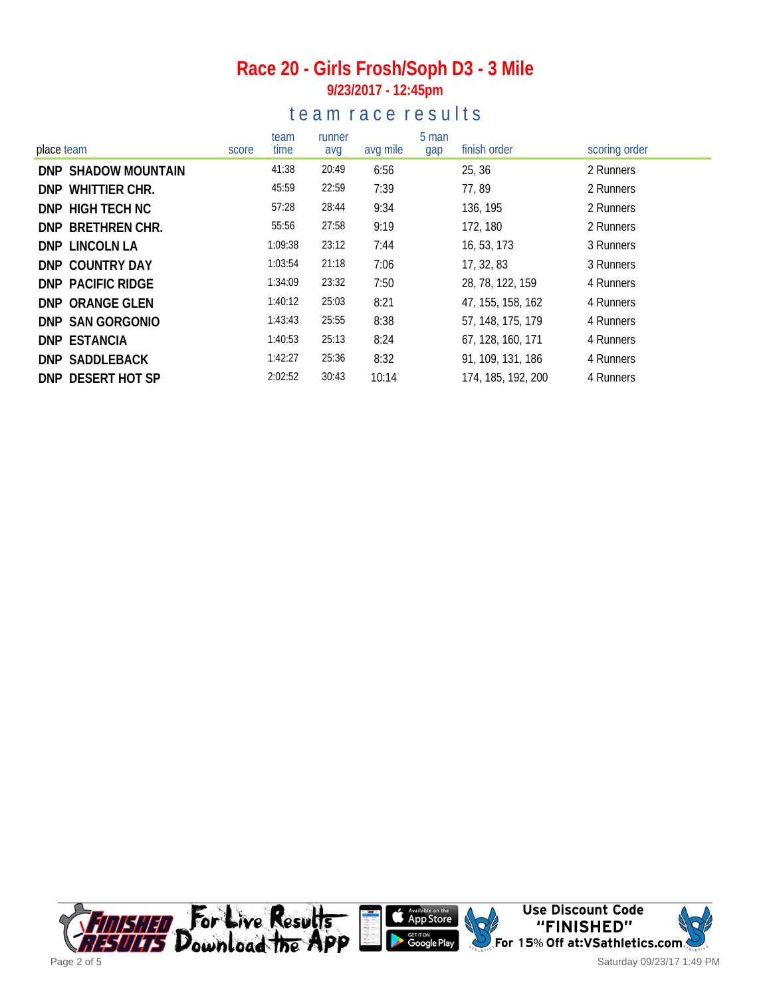## **9/23/2017 - 12:45pm**

#### te am race results

| place team          | score | team<br>time | runner<br>avg | avg mile | 5 man<br>gap | finish order       | scoring order |
|---------------------|-------|--------------|---------------|----------|--------------|--------------------|---------------|
| DNP SHADOW MOUNTAIN |       | 41:38        | 20:49         | 6:56     |              | 25, 36             | 2 Runners     |
| DNP WHITTIER CHR.   |       | 45:59        | 22:59         | 7:39     |              | 77,89              | 2 Runners     |
| DNP HIGH TECH NC    |       | 57:28        | 28:44         | 9:34     |              | 136, 195           | 2 Runners     |
| DNP BRETHREN CHR.   |       | 55:56        | 27:58         | 9:19     |              | 172, 180           | 2 Runners     |
| DNP LINCOLN LA      |       | 1:09:38      | 23:12         | 7:44     |              | 16, 53, 173        | 3 Runners     |
| DNP COUNTRY DAY     |       | 1:03:54      | 21:18         | 7:06     |              | 17, 32, 83         | 3 Runners     |
| DNP PACIFIC RIDGE   |       | 1:34:09      | 23:32         | 7:50     |              | 28, 78, 122, 159   | 4 Runners     |
| DNP ORANGE GLEN     |       | 1:40:12      | 25:03         | 8:21     |              | 47, 155, 158, 162  | 4 Runners     |
| DNP SAN GORGONIO    |       | 1:43:43      | 25:55         | 8:38     |              | 57, 148, 175, 179  | 4 Runners     |
| DNP ESTANCIA        |       | 1:40:53      | 25:13         | 8:24     |              | 67, 128, 160, 171  | 4 Runners     |
| DNP SADDLEBACK      |       | 1:42:27      | 25:36         | 8:32     |              | 91, 109, 131, 186  | 4 Runners     |
| DNP DESERT HOT SP   |       | 2:02:52      | 30:43         | 10:14    |              | 174, 185, 192, 200 | 4 Runners     |

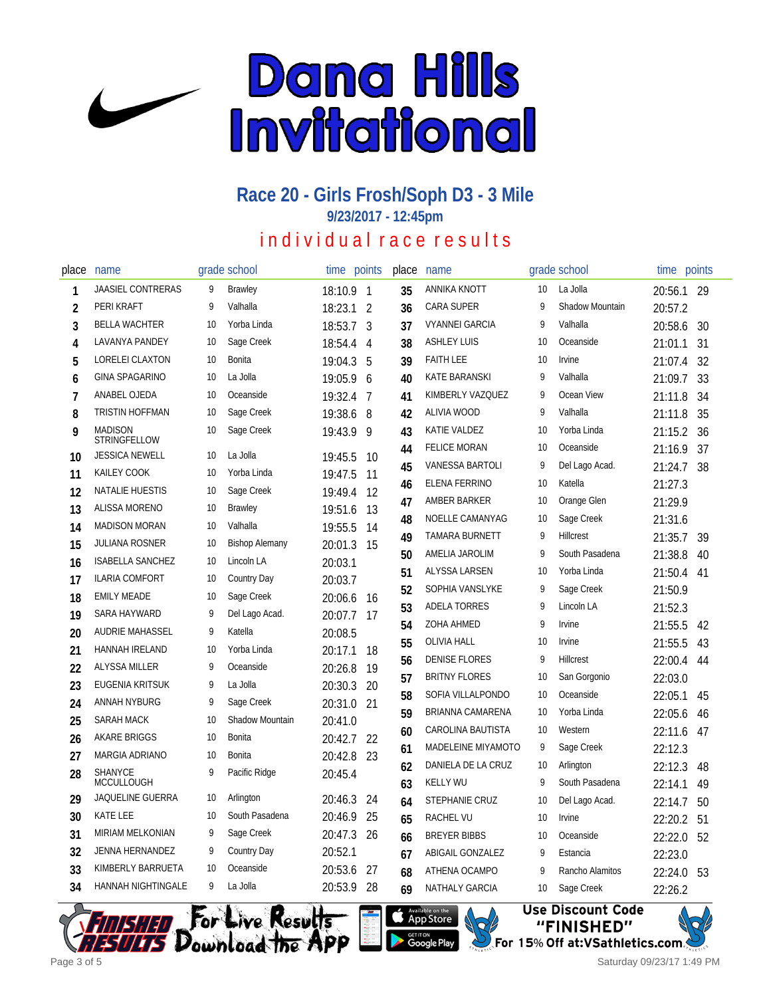

**9/23/2017 - 12:45pm**

## in dividual race results

| place          | name                                         |    | grade school          | time      | points                   | place | name                   |    | grade school     | time points |    |
|----------------|----------------------------------------------|----|-----------------------|-----------|--------------------------|-------|------------------------|----|------------------|-------------|----|
| 1              | <b>JAASIEL CONTRERAS</b>                     | 9  | <b>Brawley</b>        | 18:10.9   | $\overline{\phantom{a}}$ | 35    | ANNIKA KNOTT           | 10 | La Jolla         | 20:56.1 29  |    |
| 2              | PERI KRAFT                                   | 9  | Valhalla              | 18:23.1   | 2                        | 36    | <b>CARA SUPER</b>      | 9  | Shadow Mountain  | 20:57.2     |    |
| 3              | <b>BELLA WACHTER</b>                         | 10 | Yorba Linda           | 18:53.7 3 |                          | 37    | <b>VYANNEI GARCIA</b>  | 9  | Valhalla         | 20:58.6     | 30 |
| 4              | LAVANYA PANDEY                               | 10 | Sage Creek            | 18:54.4   | $\overline{4}$           | 38    | <b>ASHLEY LUIS</b>     | 10 | Oceanside        | 21:01.1     | 31 |
| 5              | LORELEI CLAXTON                              | 10 | <b>Bonita</b>         | 19:04.3   | 5                        | 39    | <b>FAITH LEE</b>       | 10 | Irvine           | 21:07.4     | 32 |
| 6              | <b>GINA SPAGARINO</b>                        | 10 | La Jolla              | 19:05.9   | 6                        | 40    | KATE BARANSKI          | 9  | Valhalla         | 21:09.7     | 33 |
| $\overline{1}$ | ANABEL OJEDA                                 | 10 | Oceanside             | 19:32.4   | 7                        | 41    | KIMBERLY VAZQUEZ       | 9  | Ocean View       | 21:11.8     | 34 |
| 8              | TRISTIN HOFFMAN                              | 10 | Sage Creek            | 19:38.6   | 8                        | 42    | ALIVIA WOOD            | 9  | Valhalla         | 21:11.8     | 35 |
| 9              | <b>MADISON</b><br>STRINGFELLOW               | 10 | Sage Creek            | 19:43.9   | 9                        | 43    | KATIE VALDEZ           | 10 | Yorba Linda      | 21:15.2     | 36 |
| 10             | <b>JESSICA NEWELL</b>                        | 10 | La Jolla              | 19:45.5   | 10                       | 44    | <b>FELICE MORAN</b>    | 10 | Oceanside        | 21:16.9     | 37 |
| 11             | KAILEY COOK                                  | 10 | Yorba Linda           | 19:47.5   | 11                       | 45    | <b>VANESSA BARTOLI</b> | 9  | Del Lago Acad.   | 21:24.7     | 38 |
| 12             | <b>NATALIE HUESTIS</b>                       | 10 | Sage Creek            | 19:49.4   | 12                       | 46    | ELENA FERRINO          | 10 | Katella          | 21:27.3     |    |
| 13             | <b>ALISSA MORENO</b>                         | 10 | <b>Brawley</b>        | 19:51.6   | 13                       | 47    | AMBER BARKER           | 10 | Orange Glen      | 21:29.9     |    |
| 14             | <b>MADISON MORAN</b>                         | 10 | Valhalla              | 19:55.5   | 14                       | 48    | NOELLE CAMANYAG        | 10 | Sage Creek       | 21:31.6     |    |
| 15             | <b>JULIANA ROSNER</b>                        | 10 | <b>Bishop Alemany</b> | 20:01.3   | 15                       | 49    | TAMARA BURNETT         | 9  | Hillcrest        | 21:35.7     | 39 |
| 16             | <b>ISABELLA SANCHEZ</b>                      | 10 | Lincoln LA            | 20:03.1   |                          | 50    | AMELIA JAROLIM         | 9  | South Pasadena   | 21:38.8     | 40 |
| 17             | <b>ILARIA COMFORT</b>                        | 10 | Country Day           | 20:03.7   |                          | 51    | ALYSSA LARSEN          | 10 | Yorba Linda      | 21:50.4     | 41 |
| 18             | <b>EMILY MEADE</b>                           | 10 | Sage Creek            | 20:06.6   | 16                       | 52    | SOPHIA VANSLYKE        | 9  | Sage Creek       | 21:50.9     |    |
| 19             | SARA HAYWARD                                 | 9  | Del Lago Acad.        | 20:07.7   | 17                       | 53    | <b>ADELA TORRES</b>    | 9  | Lincoln LA       | 21:52.3     |    |
| 20             | <b>AUDRIE MAHASSEL</b>                       | 9  | Katella               | 20:08.5   |                          | 54    | <b>ZOHA AHMED</b>      | 9  | <i>Irvine</i>    | 21:55.5     | 42 |
| 21             | HANNAH IRELAND                               | 10 | Yorba Linda           | 20:17.1   | 18                       | 55    | <b>OLIVIA HALL</b>     | 10 | Irvine           | 21:55.5     | 43 |
| 22             | ALYSSA MILLER                                | 9  | Oceanside             | 20:26.8   | 19                       | 56    | <b>DENISE FLORES</b>   | 9  | <b>Hillcrest</b> | 22:00.4     | 44 |
| 23             | EUGENIA KRITSUK                              | 9  | La Jolla              | 20:30.3   | 20                       | 57    | <b>BRITNY FLORES</b>   | 10 | San Gorgonio     | 22:03.0     |    |
| 24             | ANNAH NYBURG                                 | 9  | Sage Creek            | 20:31.0   | 21                       | 58    | SOFIA VILLALPONDO      | 10 | Oceanside        | 22:05.1     | 45 |
| 25             | SARAH MACK                                   | 10 | Shadow Mountain       | 20:41.0   |                          | 59    | BRIANNA CAMARENA       | 10 | Yorba Linda      | 22:05.6     | 46 |
| 26             | <b>AKARE BRIGGS</b>                          | 10 | Bonita                | 20:42.7   | 22                       | 60    | CAROLINA BAUTISTA      | 10 | Western          | 22:11.6     | 47 |
| 27             | MARGIA ADRIANO                               | 10 | Bonita                | 20:42.8   | 23                       | 61    | MADELEINE MIYAMOTO     | 9  | Sage Creek       | 22:12.3     |    |
| 28             | <b>SHANYCE</b>                               | 9  | Pacific Ridge         | 20:45.4   |                          | 62    | DANIELA DE LA CRUZ     | 10 | Arlington        | 22:12.3     | 48 |
|                | <b>MCCULLOUGH</b><br><b>JAQUELINE GUERRA</b> | 10 | Arlington             |           |                          | 63    | <b>KELLY WU</b>        | 9  | South Pasadena   | 22:14.1     | 49 |
| 29             | KATE LEE                                     | 10 | South Pasadena        | 20:46.3   | 24                       | 64    | STEPHANIE CRUZ         | 10 | Del Lago Acad.   | 22:14.7     | 50 |
| 30             | <b>MIRIAM MELKONIAN</b>                      | 9  |                       | 20:46.9   | 25                       | 65    | RACHEL VU              | 10 | Irvine           | 22:20.2     | 51 |
| 31             |                                              | 9  | Sage Creek            | 20:47.3   | 26                       | 66    | <b>BREYER BIBBS</b>    | 10 | Oceanside        | 22:22.0     | 52 |
| 32             | JENNA HERNANDEZ                              | 10 | Country Day           | 20:52.1   |                          | 67    | ABIGAIL GONZALEZ       | 9  | Estancia         | 22:23.0     |    |
| 33             | KIMBERLY BARRUETA                            |    | Oceanside             | 20:53.6   | 27                       | 68    | ATHENA OCAMPO          | q  | Rancho Alamitos  | 22:24.0     | 53 |
| 34             | HANNAH NIGHTINGALE                           | 9  | La Jolla              | 20:53.9   | 28                       | 69    | <b>NATHALY GARCIA</b>  | 10 | Sage Creek       | 22:26.2     |    |







Saturday 09/23/17 1:49 PM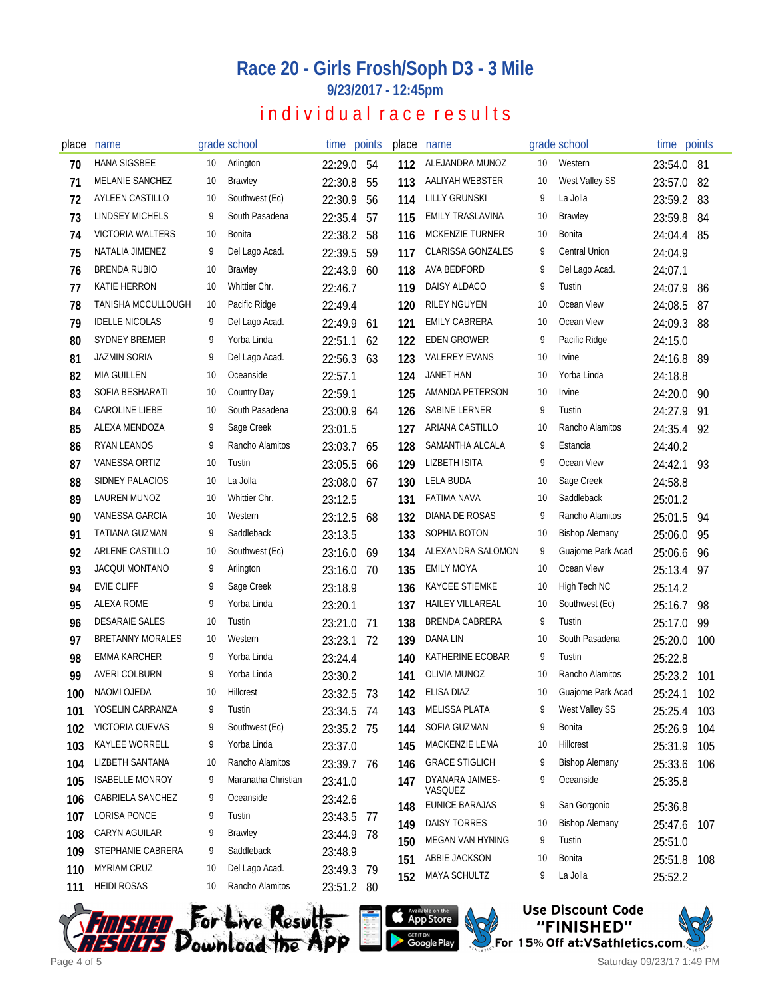**9/23/2017 - 12:45pm**

## individual race results

| place | name                    |    | grade school        | time points |     | place | name                     |    | grade school          | time points |     |
|-------|-------------------------|----|---------------------|-------------|-----|-------|--------------------------|----|-----------------------|-------------|-----|
| 70    | <b>HANA SIGSBEE</b>     | 10 | Arlington           | 22:29.0     | -54 | 112   | ALEJANDRA MUNOZ          | 10 | Western               | 23:54.0     | -81 |
| 71    | MELANIE SANCHEZ         | 10 | <b>Brawley</b>      | 22:30.8     | 55  | 113   | AALIYAH WEBSTER          | 10 | West Valley SS        | 23:57.0     | 82  |
| 72    | <b>AYLEEN CASTILLO</b>  | 10 | Southwest (Ec)      | 22:30.9     | 56  | 114   | <b>LILLY GRUNSKI</b>     | 9  | La Jolla              | 23:59.2     | 83  |
| 73    | <b>LINDSEY MICHELS</b>  | 9  | South Pasadena      | 22:35.4     | 57  | 115   | <b>EMILY TRASLAVINA</b>  | 10 | <b>Brawley</b>        | 23:59.8     | 84  |
| 74    | <b>VICTORIA WALTERS</b> | 10 | Bonita              | 22:38.2     | 58  | 116   | MCKENZIE TURNER          | 10 | <b>Bonita</b>         | 24:04.4     | 85  |
| 75    | NATALIA JIMENEZ         | 9  | Del Lago Acad.      | 22:39.5     | 59  | 117   | <b>CLARISSA GONZALES</b> | 9  | <b>Central Union</b>  | 24:04.9     |     |
| 76    | <b>BRENDA RUBIO</b>     | 10 | Brawley             | 22:43.9     | 60  | 118   | AVA BEDFORD              | 9  | Del Lago Acad.        | 24:07.1     |     |
| 77    | KATIE HERRON            | 10 | Whittier Chr.       | 22:46.7     |     | 119   | DAISY ALDACO             | 9  | Tustin                | 24:07.9     | -86 |
| 78    | TANISHA MCCULLOUGH      | 10 | Pacific Ridge       | 22:49.4     |     | 120   | <b>RILEY NGUYEN</b>      | 10 | Ocean View            | 24:08.5     | 87  |
| 79    | <b>IDELLE NICOLAS</b>   | 9  | Del Lago Acad.      | 22:49.9     | -61 | 121   | <b>EMILY CABRERA</b>     | 10 | Ocean View            | 24:09.3     | 88  |
| 80    | <b>SYDNEY BREMER</b>    | 9  | Yorba Linda         | 22:51.1     | 62  | 122   | <b>EDEN GROWER</b>       | 9  | Pacific Ridge         | 24:15.0     |     |
| 81    | <b>JAZMIN SORIA</b>     | 9  | Del Lago Acad.      | 22:56.3     | 63  | 123   | <b>VALEREY EVANS</b>     | 10 | <b>Irvine</b>         | 24:16.8     | 89  |
| 82    | MIA GUILLEN             | 10 | Oceanside           | 22:57.1     |     | 124   | JANET HAN                | 10 | Yorba Linda           | 24:18.8     |     |
| 83    | SOFIA BESHARATI         | 10 | Country Day         | 22:59.1     |     | 125   | AMANDA PETERSON          | 10 | Irvine                | 24:20.0     | 90  |
| 84    | <b>CAROLINE LIEBE</b>   | 10 | South Pasadena      | 23:00.9     | -64 | 126   | SABINE LERNER            | 9  | Tustin                | 24:27.9     | 91  |
| 85    | ALEXA MENDOZA           | 9  | Sage Creek          | 23:01.5     |     | 127   | ARIANA CASTILLO          | 10 | Rancho Alamitos       | 24:35.4     | 92  |
| 86    | RYAN LEANOS             | 9  | Rancho Alamitos     | 23:03.7     | 65  | 128   | SAMANTHA ALCALA          | 9  | Estancia              | 24:40.2     |     |
| 87    | VANESSA ORTIZ           | 10 | Tustin              | 23:05.5     | 66  | 129   | <b>LIZBETH ISITA</b>     | 9  | Ocean View            | 24:42.1     | 93  |
| 88    | SIDNEY PALACIOS         | 10 | La Jolla            | 23:08.0     | 67  | 130   | <b>LELA BUDA</b>         | 10 | Sage Creek            | 24:58.8     |     |
| 89    | LAUREN MUNOZ            | 10 | Whittier Chr.       | 23:12.5     |     | 131   | FATIMA NAVA              | 10 | Saddleback            | 25:01.2     |     |
| 90    | VANESSA GARCIA          | 10 | Western             | 23:12.5     | 68  | 132   | DIANA DE ROSAS           | 9  | Rancho Alamitos       | 25:01.5     | 94  |
| 91    | TATIANA GUZMAN          | 9  | Saddleback          | 23:13.5     |     | 133   | SOPHIA BOTON             | 10 | <b>Bishop Alemany</b> | 25:06.0     | 95  |
| 92    | ARLENE CASTILLO         | 10 | Southwest (Ec)      | 23:16.0     | 69  | 134   | ALEXANDRA SALOMON        | 9  | Guajome Park Acad     | 25:06.6     | 96  |
| 93    | <b>JACQUI MONTANO</b>   | 9  | Arlington           | 23:16.0     | 70  | 135   | <b>EMILY MOYA</b>        | 10 | Ocean View            | 25:13.4     | 97  |
| 94    | <b>EVIE CLIFF</b>       | 9  | Sage Creek          | 23:18.9     |     | 136   | <b>KAYCEE STIEMKE</b>    | 10 | High Tech NC          | 25:14.2     |     |
| 95    | ALEXA ROME              | 9  | Yorba Linda         | 23:20.1     |     | 137   | <b>HAILEY VILLAREAL</b>  | 10 | Southwest (Ec)        | 25:16.7     | 98  |
| 96    | <b>DESARAIE SALES</b>   | 10 | Tustin              | 23:21.0     | -71 | 138   | BRENDA CABRERA           | 9  | Tustin                | 25:17.0     | 99  |
| 97    | <b>BRETANNY MORALES</b> | 10 | Western             | 23:23.1     | -72 | 139   | DANA LIN                 | 10 | South Pasadena        | 25:20.0     | 100 |
| 98    | EMMA KARCHER            | 9  | Yorba Linda         | 23:24.4     |     | 140   | KATHERINE ECOBAR         | 9  | Tustin                | 25:22.8     |     |
| 99    | <b>AVERI COLBURN</b>    | 9  | Yorba Linda         | 23:30.2     |     | 141   | OLIVIA MUNOZ             | 10 | Rancho Alamitos       | 25:23.2     | 101 |
| 100   | NAOMI OJEDA             | 10 | Hillcrest           | 23:32.5 73  |     | 142   | ELISA DIAZ               | 10 | Guajome Park Acad     | 25:24.1 102 |     |
| 101   | YOSELIN CARRANZA        | 9  | Tustin              | 23:34.5 74  |     | 143   | <b>MELISSA PLATA</b>     | 9  | West Valley SS        | 25:25.4     | 103 |
| 102   | VICTORIA CUEVAS         | 9  | Southwest (Ec)      | 23:35.2 75  |     | 144   | SOFIA GUZMAN             | 9  | Bonita                | 25:26.9     | 104 |
| 103   | KAYLEE WORRELL          | 9  | Yorba Linda         | 23:37.0     |     | 145   | MACKENZIE LEMA           | 10 | Hillcrest             | 25:31.9     | 105 |
| 104   | LIZBETH SANTANA         | 10 | Rancho Alamitos     | 23:39.7 76  |     | 146   | <b>GRACE STIGLICH</b>    | 9  | <b>Bishop Alemany</b> | 25:33.6     | 106 |
| 105   | <b>ISABELLE MONROY</b>  | 9  | Maranatha Christian | 23:41.0     |     | 147   | DYANARA JAIMES-          | 9  | Oceanside             | 25:35.8     |     |
| 106   | <b>GABRIELA SANCHEZ</b> | 9  | Oceanside           | 23:42.6     |     |       | VASQUEZ                  |    |                       |             |     |
| 107   | <b>LORISA PONCE</b>     | 9  | Tustin              | 23:43.5 77  |     | 148   | <b>EUNICE BARAJAS</b>    | 9  | San Gorgonio          | 25:36.8     |     |
| 108   | CARYN AGUILAR           | 9  | Brawley             | 23:44.9 78  |     | 149   | <b>DAISY TORRES</b>      | 10 | <b>Bishop Alemany</b> | 25:47.6     | 107 |
| 109   | STEPHANIE CABRERA       | 9  | Saddleback          | 23:48.9     |     | 150   | MEGAN VAN HYNING         | 9  | Tustin                | 25:51.0     |     |
| 110   | <b>MYRIAM CRUZ</b>      | 10 | Del Lago Acad.      | 23:49.3 79  |     | 151   | ABBIE JACKSON            | 10 | Bonita                | 25:51.8     | 108 |
| 111   | <b>HEIDI ROSAS</b>      | 10 | Rancho Alamitos     | 23:51.2 80  |     | 152   | MAYA SCHULTZ             | 9  | La Jolla              | 25:52.2     |     |